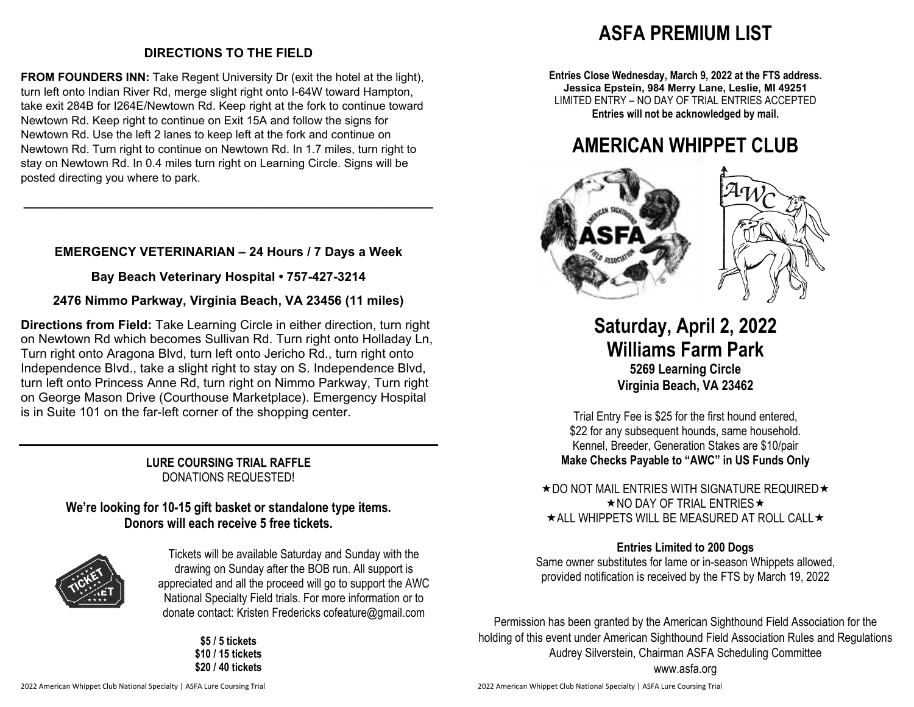## **DIRECTIONS TO THE FIELD**

**FROM FOUNDERS INN:** Take Regent University Dr (exit the hotel at the light), turn left onto Indian River Rd, merge slight right onto I-64W toward Hampton, take exit 284B for I264E/Newtown Rd. Keep right at the fork to continue toward Newtown Rd. Keep right to continue on Exit 15A and follow the signs for Newtown Rd. Use the left 2 lanes to keep left at the fork and continue on Newtown Rd. Turn right to continue on Newtown Rd. In 1.7 miles, turn right to stay on Newtown Rd. In 0.4 miles turn right on Learning Circle. Signs will be posted directing you where to park.

## **EMERGENCY VETERINARIAN – 24 Hours / 7 Days a Week**

**\_\_\_\_\_\_\_\_\_\_\_\_\_\_\_\_\_\_\_\_\_\_\_\_\_\_\_\_\_\_\_\_\_\_\_\_\_\_\_\_\_\_\_\_\_\_\_\_\_\_\_\_\_\_\_\_\_\_** 

**Bay Beach Veterinary Hospital • 757-427-3214** 

### **2476 Nimmo Parkway, Virginia Beach, VA 23456 (11 miles)**

**Directions from Field:** Take Learning Circle in either direction, turn right on Newtown Rd which becomes Sullivan Rd. Turn right onto Holladay Ln, Turn right onto Aragona Blvd, turn left onto Jericho Rd., turn right onto Independence Blvd., take a slight right to stay on S. Independence Blvd, turn left onto Princess Anne Rd, turn right on Nimmo Parkway, Turn right on George Mason Drive (Courthouse Marketplace). Emergency Hospital is in Suite 101 on the far-left corner of the shopping center.

> **LURE COURSING TRIAL RAFFLE** DONATIONS REQUESTED!

## **We're looking for 10-15 gift basket or standalone type items. Donors will each receive 5 free tickets.**



Tickets will be available Saturday and Sunday with the drawing on Sunday after the BOB run. All support is appreciated and all the proceed will go to support the AWC National Specialty Field trials. For more information or to donate contact: Kristen Fredericks cofeature@gmail.com

> **\$5 / 5 tickets \$10 / 15 tickets \$20 / 40 tickets**

# **ASFA PREMIUM LIST**

**Entries Close Wednesday, March 9, 2022 at the FTS address. Jessica Epstein, 984 Merry Lane, Leslie, MI 49251** LIMITED ENTRY – NO DAY OF TRIAL ENTRIES ACCEPTED **Entries will not be acknowledged by mail.** 

# **AMERICAN WHIPPET CLUB**





**Saturday, April 2, 2022 Williams Farm Park 5269 Learning Circle Virginia Beach, VA 23462** 

Trial Entry Fee is \$25 for the first hound entered, \$22 for any subsequent hounds, same household. Kennel, Breeder, Generation Stakes are \$10/pair **Make Checks Payable to "AWC" in US Funds Only** 

 $\star$  DO NOT MAIL ENTRIES WITH SIGNATURE REQUIRED  $\star$  $\star$  NO DAY OF TRIAL ENTRIES  $\star$  $\star$  ALL WHIPPETS WILL BE MEASURED AT ROLL CALL  $\star$ 

### **Entries Limited to 200 Dogs**

Same owner substitutes for lame or in-season Whippets allowed, provided notification is received by the FTS by March 19, 2022

Permission has been granted by the American Sighthound Field Association for the holding of this event under American Sighthound Field Association Rules and Regulations Audrey Silverstein, Chairman ASFA Scheduling Committee www.asfa.org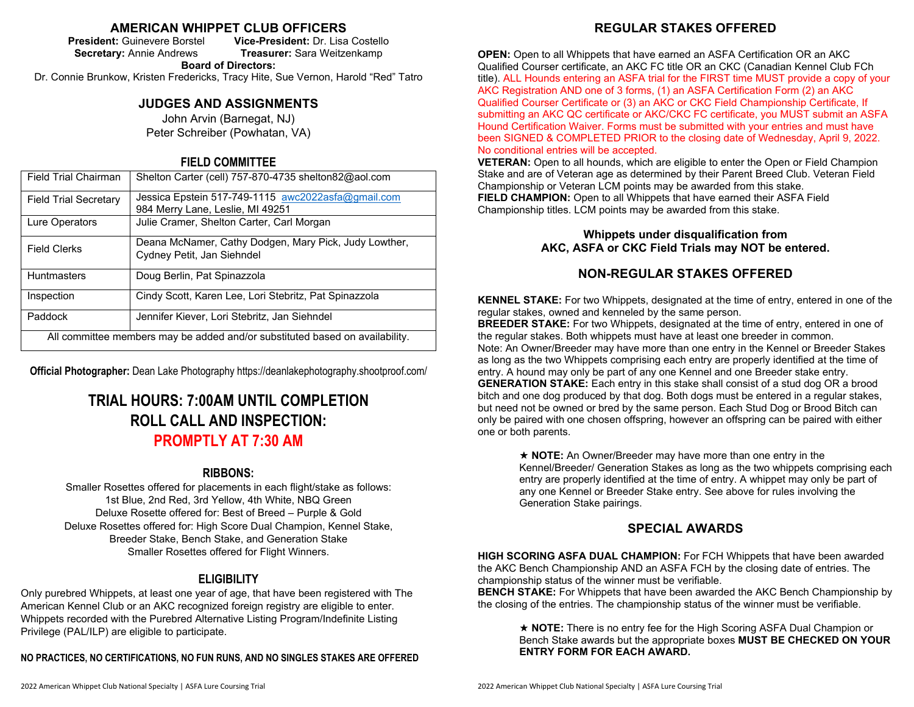### **AMERICAN WHIPPET CLUB OFFICERS**

**President:** Guinevere Borstel **Vice-President:** Dr. Lisa Costello **Secretary:** Annie Andrews **Treasurer:** Sara Weitzenkamp

**Board of Directors:**

Dr. Connie Brunkow, Kristen Fredericks, Tracy Hite, Sue Vernon, Harold "Red" Tatro

### **JUDGES AND ASSIGNMENTS**

John Arvin (Barnegat, NJ) Peter Schreiber (Powhatan, VA)

### **FIELD COMMITTEE**

| <b>Field Trial Chairman</b>                                                  | Shelton Carter (cell) 757-870-4735 shelton82@aol.com                                   |  |  |
|------------------------------------------------------------------------------|----------------------------------------------------------------------------------------|--|--|
| <b>Field Trial Secretary</b>                                                 | Jessica Epstein 517-749-1115 awc2022asfa@gmail.com<br>984 Merry Lane, Leslie, MI 49251 |  |  |
| Lure Operators                                                               | Julie Cramer, Shelton Carter, Carl Morgan                                              |  |  |
| <b>Field Clerks</b>                                                          | Deana McNamer, Cathy Dodgen, Mary Pick, Judy Lowther,<br>Cydney Petit, Jan Siehndel    |  |  |
| <b>Huntmasters</b>                                                           | Doug Berlin, Pat Spinazzola                                                            |  |  |
| Inspection                                                                   | Cindy Scott, Karen Lee, Lori Stebritz, Pat Spinazzola                                  |  |  |
| Paddock                                                                      | Jennifer Kiever, Lori Stebritz, Jan Siehndel                                           |  |  |
| All committee members may be added and/or substituted based on availability. |                                                                                        |  |  |

**Official Photographer:** Dean Lake Photography https://deanlakephotography.shootproof.com/

## **TRIAL HOURS: 7:00AM UNTIL COMPLETION ROLL CALL AND INSPECTION: PROMPTLY AT 7:30 AM**

### **RIBBONS:**

Smaller Rosettes offered for placements in each flight/stake as follows: 1st Blue, 2nd Red, 3rd Yellow, 4th White, NBQ Green Deluxe Rosette offered for: Best of Breed – Purple & Gold Deluxe Rosettes offered for: High Score Dual Champion, Kennel Stake, Breeder Stake, Bench Stake, and Generation Stake Smaller Rosettes offered for Flight Winners.

### **ELIGIBILITY**

Only purebred Whippets, at least one year of age, that have been registered with The American Kennel Club or an AKC recognized foreign registry are eligible to enter. Whippets recorded with the Purebred Alternative Listing Program/Indefinite Listing Privilege (PAL/ILP) are eligible to participate.

**NO PRACTICES, NO CERTIFICATIONS, NO FUN RUNS, AND NO SINGLES STAKES ARE OFFERED** 

**OPEN:** Open to all Whippets that have earned an ASFA Certification OR an AKC Qualified Courser certificate, an AKC FC title OR an CKC (Canadian Kennel Club FCh title). ALL Hounds entering an ASFA trial for the FIRST time MUST provide a copy of your AKC Registration AND one of 3 forms, (1) an ASFA Certification Form (2) an AKC Qualified Courser Certificate or (3) an AKC or CKC Field Championship Certificate, If submitting an AKC QC certificate or AKC/CKC FC certificate, you MUST submit an ASFA Hound Certification Waiver. Forms must be submitted with your entries and must have been SIGNED & COMPLETED PRIOR to the closing date of Wednesday, April 9, 2022. No conditional entries will be accepted.

**VETERAN:** Open to all hounds, which are eligible to enter the Open or Field Champion Stake and are of Veteran age as determined by their Parent Breed Club. Veteran Field Championship or Veteran LCM points may be awarded from this stake. **FIELD CHAMPION:** Open to all Whippets that have earned their ASFA Field Championship titles. LCM points may be awarded from this stake.

### **Whippets under disqualification from AKC, ASFA or CKC Field Trials may NOT be entered.**

### **NON-REGULAR STAKES OFFERED**

**KENNEL STAKE:** For two Whippets, designated at the time of entry, entered in one of the regular stakes, owned and kenneled by the same person.

**BREEDER STAKE:** For two Whippets, designated at the time of entry, entered in one of the regular stakes. Both whippets must have at least one breeder in common. Note: An Owner/Breeder may have more than one entry in the Kennel or Breeder Stakes as long as the two Whippets comprising each entry are properly identified at the time of entry. A hound may only be part of any one Kennel and one Breeder stake entry. **GENERATION STAKE:** Each entry in this stake shall consist of a stud dog OR a brood bitch and one dog produced by that dog. Both dogs must be entered in a regular stakes, but need not be owned or bred by the same person. Each Stud Dog or Brood Bitch can only be paired with one chosen offspring, however an offspring can be paired with either one or both parents.

 **NOTE:** An Owner/Breeder may have more than one entry in the Kennel/Breeder/ Generation Stakes as long as the two whippets comprising each entry are properly identified at the time of entry. A whippet may only be part of any one Kennel or Breeder Stake entry. See above for rules involving the Generation Stake pairings.

### **SPECIAL AWARDS**

**HIGH SCORING ASFA DUAL CHAMPION:** For FCH Whippets that have been awarded the AKC Bench Championship AND an ASFA FCH by the closing date of entries. The championship status of the winner must be verifiable.

**BENCH STAKE:** For Whippets that have been awarded the AKC Bench Championship by the closing of the entries. The championship status of the winner must be verifiable.

★ **NOTE:** There is no entry fee for the High Scoring ASFA Dual Champion or Bench Stake awards but the appropriate boxes **MUST BE CHECKED ON YOUR ENTRY FORM FOR EACH AWARD.**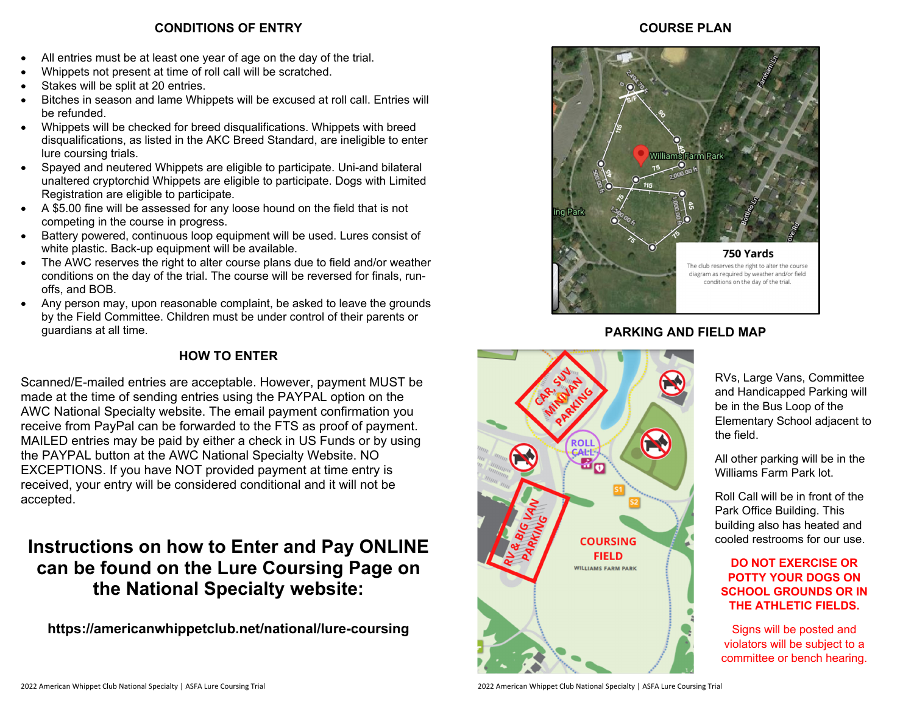### **CONDITIONS OF ENTRY**

- All entries must be at least one year of age on the day of the trial.
- Whippets not present at time of roll call will be scratched.
- Stakes will be split at 20 entries.
- Bitches in season and lame Whippets will be excused at roll call. Entries will be refunded.
- Whippets will be checked for breed disqualifications. Whippets with breed disqualifications, as listed in the AKC Breed Standard, are ineligible to enter lure coursing trials.
- Spayed and neutered Whippets are eligible to participate. Uni-and bilateral unaltered cryptorchid Whippets are eligible to participate. Dogs with Limited Registration are eligible to participate.
- A \$5.00 fine will be assessed for any loose hound on the field that is not competing in the course in progress.
- Battery powered, continuous loop equipment will be used. Lures consist of white plastic. Back-up equipment will be available.
- The AWC reserves the right to alter course plans due to field and/or weather conditions on the day of the trial. The course will be reversed for finals, runoffs, and BOB.
- Any person may, upon reasonable complaint, be asked to leave the grounds by the Field Committee. Children must be under control of their parents or guardians at all time.

## **HOW TO ENTER**

Scanned/E-mailed entries are acceptable. However, payment MUST be made at the time of sending entries using the PAYPAL option on the AWC National Specialty website. The email payment confirmation you receive from PayPal can be forwarded to the FTS as proof of payment. MAILED entries may be paid by either a check in US Funds or by using the PAYPAL button at the AWC National Specialty Website. NO EXCEPTIONS. If you have NOT provided payment at time entry is received, your entry will be considered conditional and it will not be accepted.

# **Instructions on how to Enter and Pay ONLINE can be found on the Lure Coursing Page on the National Specialty website:**

**https://americanwhippetclub.net/national/lure-coursing** 

### **COURSE PLAN**



### **PARKING AND FIELD MAP**



RVs, Large Vans, Committee and Handicapped Parking will be in the Bus Loop of the Elementary School adjacent to the field.

All other parking will be in the Williams Farm Park lot.

Roll Call will be in front of the Park Office Building. This building also has heated and cooled restrooms for our use.

### **DO NOT EXERCISE OR POTTY YOUR DOGS ON SCHOOL GROUNDS OR IN THE ATHLETIC FIELDS.**

Signs will be posted and violators will be subject to a committee or bench hearing.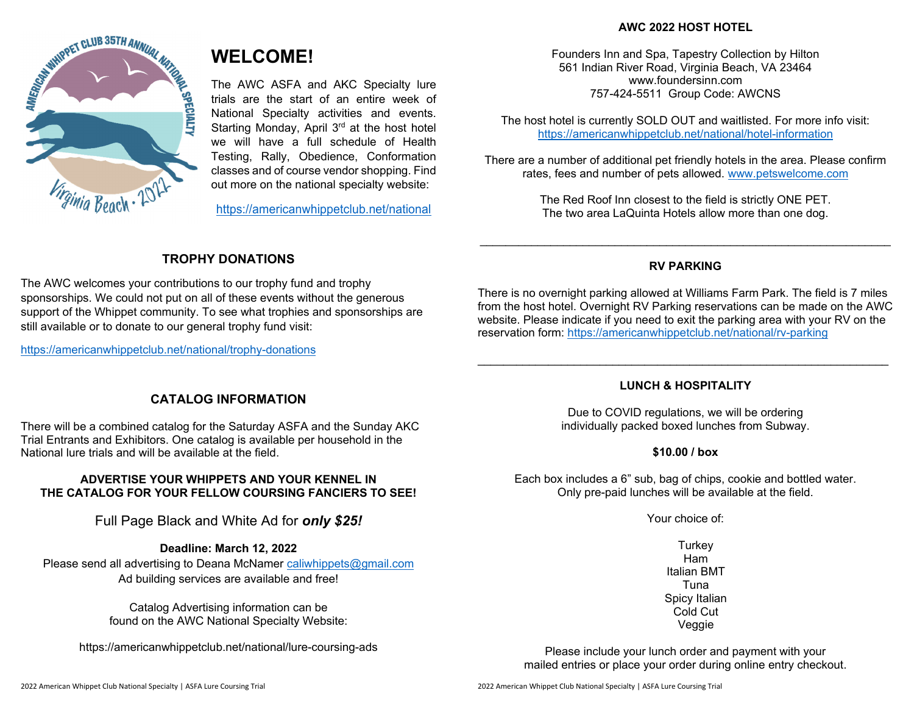### **AWC 2022 HOST HOTEL**



## **WELCOME!**

The AWC ASFA and AKC Specialty lure trials are the start of an entire week of National Specialty activities and events. Starting Monday, April 3<sup>rd</sup> at the host hotel we will have a full schedule of Health Testing, Rally, Obedience, Conformation classes and of course vendor shopping. Find out more on the national specialty website:

https://americanwhippetclub.net/national

Founders Inn and Spa, Tapestry Collection by Hilton 561 Indian River Road, Virginia Beach, VA 23464 www.foundersinn.com 757-424-5511 Group Code: AWCNS

The host hotel is currently SOLD OUT and waitlisted. For more info visit: https://americanwhippetclub.net/national/hotel-information

There are a number of additional pet friendly hotels in the area. Please confirm rates, fees and number of pets allowed. www.petswelcome.com

> The Red Roof Inn closest to the field is strictly ONE PET. The two area LaQuinta Hotels allow more than one dog.

## **TROPHY DONATIONS**

The AWC welcomes your contributions to our trophy fund and trophy sponsorships. We could not put on all of these events without the generous support of the Whippet community. To see what trophies and sponsorships are still available or to donate to our general trophy fund visit:

https://americanwhippetclub.net/national/trophy-donations

### **RV PARKING**

There is no overnight parking allowed at Williams Farm Park. The field is 7 miles from the host hotel. Overnight RV Parking reservations can be made on the AWC website. Please indicate if you need to exit the parking area with your RV on the reservation form: https://americanwhippetclub.net/national/rv-parking

### **CATALOG INFORMATION**

There will be a combined catalog for the Saturday ASFA and the Sunday AKC Trial Entrants and Exhibitors. One catalog is available per household in the National lure trials and will be available at the field.

### **ADVERTISE YOUR WHIPPETS AND YOUR KENNEL IN THE CATALOG FOR YOUR FELLOW COURSING FANCIERS TO SEE!**

Full Page Black and White Ad for *only \$25!*

### **Deadline: March 12, 2022**

Please send all advertising to Deana McNamer caliwhippets@gmail.com Ad building services are available and free!

> Catalog Advertising information can be found on the AWC National Specialty Website:

https://americanwhippetclub.net/national/lure-coursing-ads

### **LUNCH & HOSPITALITY**

Due to COVID regulations, we will be ordering individually packed boxed lunches from Subway.

### **\$10.00 / box**

Each box includes a 6" sub, bag of chips, cookie and bottled water. Only pre-paid lunches will be available at the field.

Your choice of:

**Turkey** Ham Italian BMT Tuna Spicy Italian Cold Cut Veggie

Please include your lunch order and payment with your mailed entries or place your order during online entry checkout.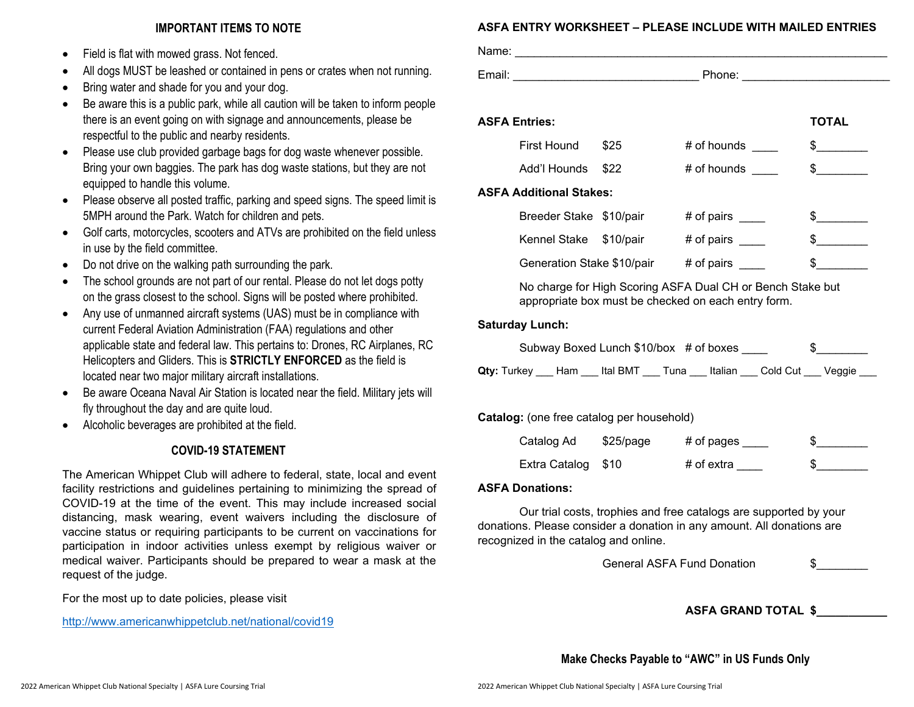### **IMPORTANT ITEMS TO NOTE**

- 0 Field is flat with mowed grass. Not fenced.
- 0 All dogs MUST be leashed or contained in pens or crates when not running.
- 0 Bring water and shade for you and your dog.
- 0 Be aware this is a public park, while all caution will be taken to inform people there is an event going on with signage and announcements, please be respectful to the public and nearby residents.
- 0 Please use club provided garbage bags for dog waste whenever possible. Bring your own baggies. The park has dog waste stations, but they are not equipped to handle this volume.
- 0 Please observe all posted traffic, parking and speed signs. The speed limit is 5MPH around the Park. Watch for children and pets.
- $\bullet$  Golf carts, motorcycles, scooters and ATVs are prohibited on the field unless in use by the field committee.
- 0 Do not drive on the walking path surrounding the park.
- 0 The school grounds are not part of our rental. Please do not let dogs potty on the grass closest to the school. Signs will be posted where prohibited.
- $\bullet$  Any use of unmanned aircraft systems (UAS) must be in compliance with current Federal Aviation Administration (FAA) regulations and other applicable state and federal law. This pertains to: Drones, RC Airplanes, RC Helicopters and Gliders. This is **STRICTLY ENFORCED** as the field is located near two major military aircraft installations.
- 0 Be aware Oceana Naval Air Station is located near the field. Military jets will fly throughout the day and are quite loud.
- 0 Alcoholic beverages are prohibited at the field.

### **COVID-19 STATEMENT**

The American Whippet Club will adhere to federal, state, local and event facility restrictions and guidelines pertaining to minimizing the spread of COVID-19 at the time of the event. This may include increased social distancing, mask wearing, event waivers including the disclosure of vaccine status or requiring participants to be current on vaccinations for participation in indoor activities unless exempt by religious waiver or medical waiver. Participants should be prepared to wear a mask at the request of the judge.

For the most up to date policies, please visit

http://www.americanwhippetclub.net/national/covid19

### **ASFA ENTRY WORKSHEET – PLEASE INCLUDE WITH MAILED ENTRIES**

| Name:  |        |
|--------|--------|
| Email: | Phone: |

| <b>ASFA Entries:</b>           |             |               | <b>TOTAL</b> |
|--------------------------------|-------------|---------------|--------------|
| First Hound                    | \$25        | $#$ of hounds | \$           |
| Add'l Hounds                   | \$22        | # of hounds   |              |
| <b>ASFA Additional Stakes:</b> |             |               |              |
| Breeder Stake \$10/pair        |             | # of pairs    |              |
| Kennel Stake                   | $$10$ /pair | # of pairs    |              |
| Generation Stake \$10/pair     |             | # of pairs    |              |

No charge for High Scoring ASFA Dual CH or Bench Stake but appropriate box must be checked on each entry form.

### **Saturday Lunch:**

|                                                                                           | Subway Boxed Lunch \$10/box # of boxes |  |  |
|-------------------------------------------------------------------------------------------|----------------------------------------|--|--|
| <b>Qty:</b> Turkey ___ Ham ___ Ital BMT ___ Tuna ___ Italian ___ Cold Cut ___ Veggie ____ |                                        |  |  |

**Catalog:** (one free catalog per household)

| Catalog Ad         | \$25/page | # of pages |  |
|--------------------|-----------|------------|--|
| Extra Catalog \$10 |           | # of extra |  |

### **ASFA Donations:**

Our trial costs, trophies and free catalogs are supported by your donations. Please consider a donation in any amount. All donations are recognized in the catalog and online.

General ASFA Fund Donation 6

**ASFA GRAND TOTAL \$\_\_\_\_\_\_\_\_\_\_\_** 

**Make Checks Payable to "AWC" in US Funds Only**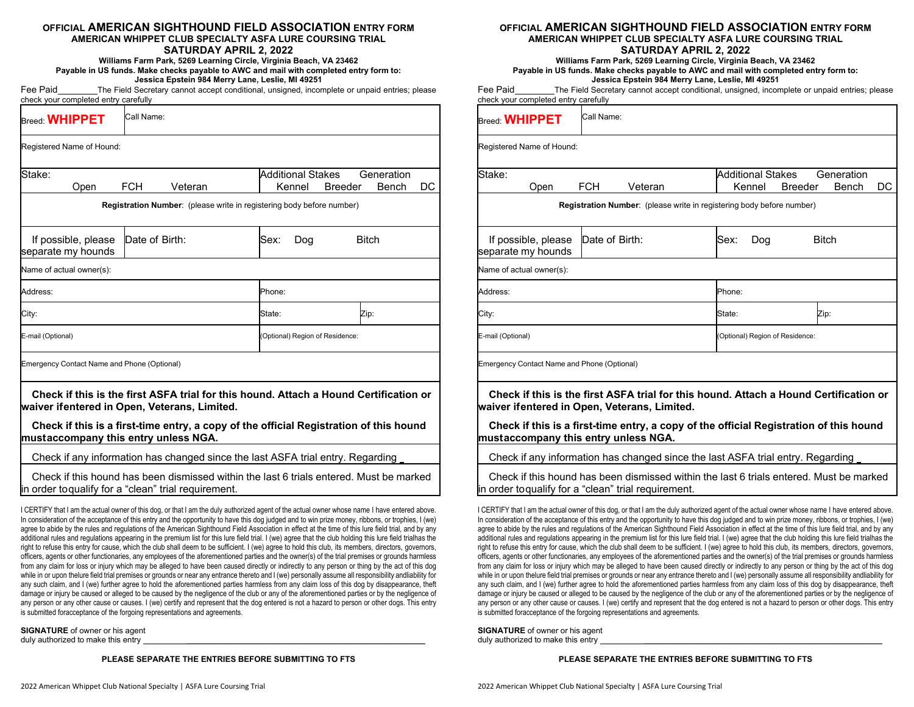### **OFFICIAL AMERICAN SIGHTHOUND FIELD ASSOCIATION ENTRY FORMAMERICAN WHIPPET CLUB SPECIALTY ASFA LURE COURSING TRIAL**

### **SATURDAY APRIL 2, 2022**

#### **Williams Farm Park, 5269 Learning Circle, Virginia Beach, VA 23462 Payable in US funds. Make checks payable to AWC and mail with completed entry form to: Jessica Epstein 984 Merry Lane, Leslie, MI 49251**

Fee Paid \_\_\_\_\_\_\_\_The Field Secretary cannot accept conditional, unsigned, incomplete or unpaid entries; please check your completed entry carefully

| $B_{\text{reed}:}$ WHIPPET                           | Call Name:                                    |                                                                              |                          |        |                |                     |     |
|------------------------------------------------------|-----------------------------------------------|------------------------------------------------------------------------------|--------------------------|--------|----------------|---------------------|-----|
| Registered Name of Hound:                            |                                               |                                                                              |                          |        |                |                     |     |
| Stake:<br>Open                                       | <b>FCH</b>                                    | Veteran                                                                      | <b>Additional Stakes</b> | Kennel | <b>Breeder</b> | Generation<br>Bench | DC. |
|                                                      |                                               | <b>Registration Number:</b> (please write in registering body before number) |                          |        |                |                     |     |
| If possible, please<br>separate my hounds            | Date of Birth:<br><b>Bitch</b><br>Sex:<br>Dog |                                                                              |                          |        |                |                     |     |
| Name of actual owner(s):                             |                                               |                                                                              |                          |        |                |                     |     |
| Address:                                             |                                               |                                                                              | Phone:                   |        |                |                     |     |
| City:                                                |                                               | State:                                                                       |                          |        | Zip:           |                     |     |
| E-mail (Optional)<br>(Optional) Region of Residence: |                                               |                                                                              |                          |        |                |                     |     |
| <b>Emergency Contact Name and Phone (Optional)</b>   |                                               |                                                                              |                          |        |                |                     |     |

**Check if this is the first ASFA trial for this hound. Attach a Hound Certification or** 

**waiver if entered in Open, Veterans, Limited.** 

 **Check if this is a first-time entry, a copy of the official Registration of this hound must accompany this entry unless NGA.** 

Check if any information has changed since the last ASFA trial entry. Regarding

 Check if this hound has been dismissed within the last 6 trials entered. Must be marked in order to qualify for a "clean" trial requirement.

I CERTIFY that I am the actual owner of this dog, or that I am the duly authorized agent of the actual owner whose name I have entered above. In consideration of the acceptance of this entry and the opportunity to have this dog judged and to win prize money, ribbons, or trophies, I (we) agree to abide by the rules and regulations of the American Sighthound Field Association in effect at the time of this lure field trial, and by any additional rules and regulations appearing in the premium list for this lure field trial. I (we) agree that the club holding this lure field trial has the right to refuse this entry for cause, which the club shall deem to be sufficient. I (we) agree to hold this club, its members, directors, governors, officers, agents or other functionaries, any employees of the aforementioned parties and the owner(s) of the trial premises or grounds harmless from any claim for loss or injury which may be alleged to have been caused directly or indirectly to any person or thing by the act of this dog while in or upon the lure field trial premises or grounds or near any entrance thereto and I (we) personally assume all responsibility and liability for any such claim, and I (we) further agree to hold the aforementioned parties harmless from any claim loss of this dog by disappearance, theft damage or injury be caused or alleged to be caused by the negligence of the club or any of the aforementioned parties or by the negligence of any person or any other cause or causes. I (we) certify and represent that the dog entered is not a hazard to person or other dogs. This entry is submitted for acceptance of the forgoing representations and agreements.

**SIGNATURE** of owner or his agent duly authorized to make this entry

**PLEASE SEPARATE THE ENTRIES BEFORE SUBMITTING TO FTS** 

### **OFFICIAL AMERICAN SIGHTHOUND FIELD ASSOCIATION ENTRY FORMAMERICAN WHIPPET CLUB SPECIALTY ASFA LURE COURSING TRIAL**

#### **SATURDAY APRIL 2, 2022**

**Williams Farm Park, 5269 Learning Circle, Virginia Beach, VA 23462 Payable in US funds. Make checks payable to AWC and mail with completed entry form to: Jessica Epstein 984 Merry Lane, Leslie, MI 49251** 

Fee Paid The Field Secretary cannot accept conditional, unsigned, incomplete or unpaid entries; please check your completed entry carefully

| <b>Breed: WHIPPET</b>                                                 | Call Name:            |                                               |                           |  |  |
|-----------------------------------------------------------------------|-----------------------|-----------------------------------------------|---------------------------|--|--|
| Registered Name of Hound:                                             |                       |                                               |                           |  |  |
| Stake:<br>Open                                                        | <b>FCH</b><br>Veteran | Additional Stakes<br>Kennel<br><b>Breeder</b> | Generation<br>Bench<br>DC |  |  |
| Registration Number: (please write in registering body before number) |                       |                                               |                           |  |  |
| If possible, please<br>separate my hounds                             | Date of Birth:        | Sex:<br>Dog                                   | <b>Bitch</b>              |  |  |
| Name of actual owner(s):                                              |                       |                                               |                           |  |  |
| Address:                                                              |                       | Phone:                                        |                           |  |  |
| City:                                                                 |                       | State:                                        | Zip:                      |  |  |
| E-mail (Optional)                                                     |                       | (Optional) Region of Residence:               |                           |  |  |
| Emergency Contact Name and Phone (Optional)                           |                       |                                               |                           |  |  |

 **Check if this is the first ASFA trial for this hound. Attach a Hound Certification or waiver if entered in Open, Veterans, Limited.** 

 **Check if this is a first-time entry, a copy of the official Registration of this hound must accompany this entry unless NGA.** 

Check if any information has changed since the last ASFA trial entry. Regarding

 Check if this hound has been dismissed within the last 6 trials entered. Must be marked in order to qualify for a "clean" trial requirement.

I CERTIFY that I am the actual owner of this dog, or that I am the duly authorized agent of the actual owner whose name I have entered above. In consideration of the acceptance of this entry and the opportunity to have this dog judged and to win prize money, ribbons, or trophies, I (we) agree to abide by the rules and regulations of the American Sighthound Field Association in effect at the time of this lure field trial, and by any additional rules and regulations appearing in the premium list for this lure field trial. I (we) agree that the club holding this lure field trial has the right to refuse this entry for cause, which the club shall deem to be sufficient. I (we) agree to hold this club, its members, directors, governors, officers, agents or other functionaries, any employees of the aforementioned parties and the owner(s) of the trial premises or grounds harmless from any claim for loss or injury which may be alleged to have been caused directly or indirectly to any person or thing by the act of this dog while in or upon the lure field trial premises or grounds or near any entrance thereto and I (we) personally assume all responsibility and liability for any such claim, and I (we) further agree to hold the aforementioned parties harmless from any claim loss of this dog by disappearance, theft damage or injury be caused or alleged to be caused by the negligence of the club or any of the aforementioned parties or by the negligence of any person or any other cause or causes. I (we) certify and represent that the dog entered is not a hazard to person or other dogs. This entry is submitted for acceptance of the forgoing representations and agreements.

**SIGNATURE** of owner or his agent duly authorized to make this entry

#### **PLEASE SEPARATE THE ENTRIES BEFORE SUBMITTING TO FTS**